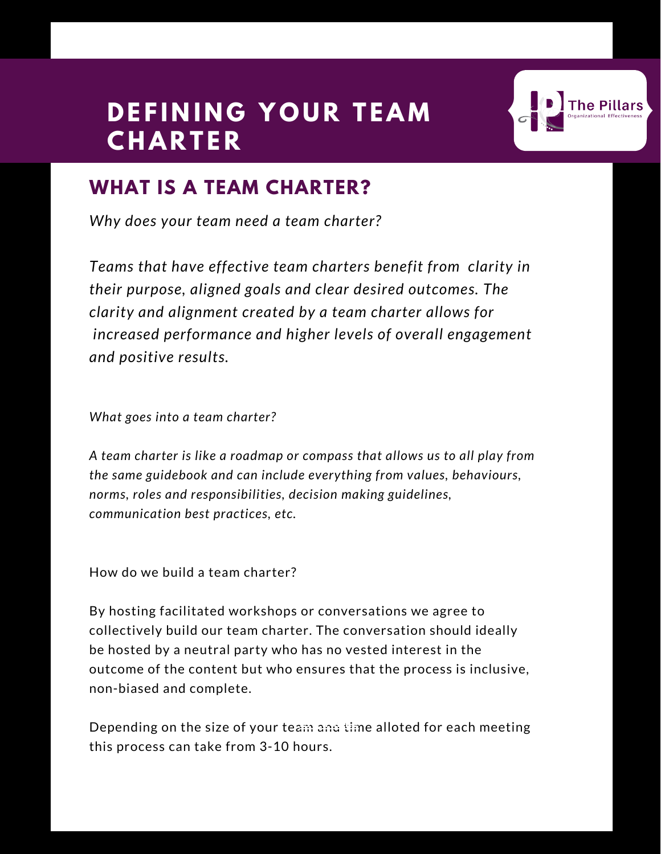# **DEFINING YOUR TEAM C H A R T E R**



### **WHAT IS A TEAM CHARTER?**

*Why does your team need a team charter?*

*Teams that have effective team charters benefit from clarity in their purpose, aligned goals and clear desired outcomes. The clarity and alignment created by a team charter allows for increased performance and higher levels of overall engagement and positive results.*

*What goes into a team charter?*

*A team charter is like a roadmap or compass that allows us to all play from the same guidebook and can include everything from values, behaviours, norms, roles and responsibilities, decision making guidelines, communication best practices, etc.*

How do we build a team charter?

By hosting facilitated workshops or conversations we agree to collectively build our team charter. The conversation should ideally be hosted by a neutral party who has no vested interest in the outcome of the content but who ensures that the process is inclusive, non-biased and complete.

Depending on the size of your team and time alloted for each meeting **EXAMPLE**this process can take from 3-10 hours.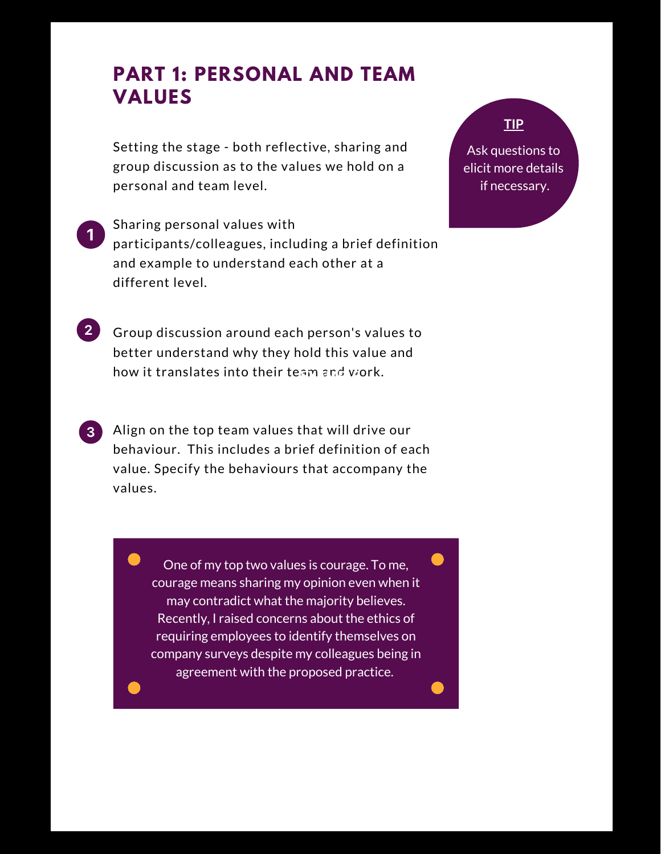### **PART 1: PERSONAL AND TEAM VALUES**

Setting the stage - both reflective, sharing and group discussion as to the values we hold on a personal and team level.

- Sharing personal values with participants/colleagues, including a brief definition and example to understand each other at a different level.
- **2** Group discussion around each person's values to better understand why they hold this value and how it translates into their team and work. **EXAMPLE**
- **3** Align on the top team values that will drive our behaviour. This includes a brief definition of each value. Specify the behaviours that accompany the values.
	- One of my top two values is courage. To me, courage means sharing my opinion even when it may contradict what the majority believes. Recently, I raised concerns about the ethics of requiring employees to identify themselves on company surveys despite my colleagues being in agreement with the proposed practice.

#### **TIP**

Ask questions to elicit more details if necessary.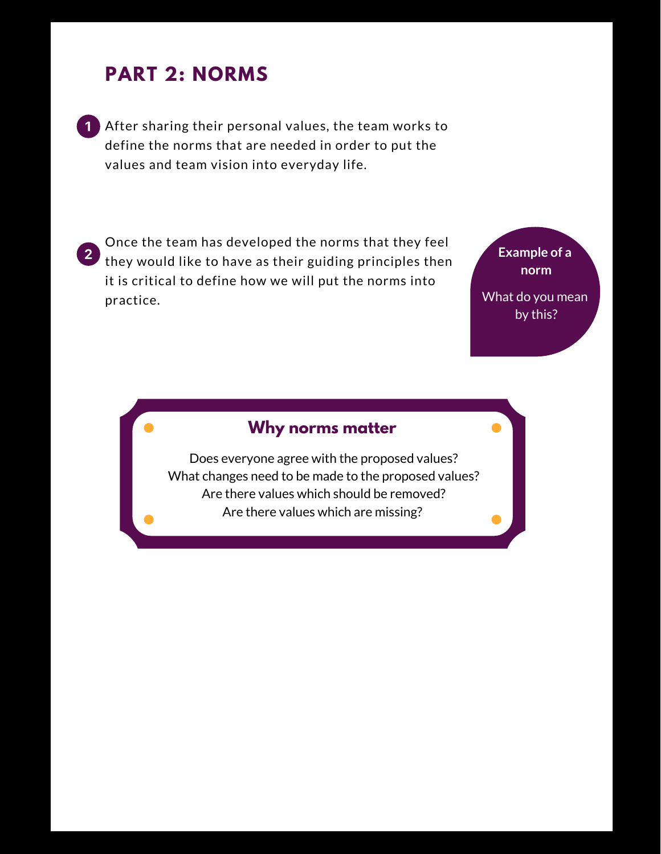### **PART 2: NORMS**

After sharing their personal values, the team works to define the norms that are needed in order to put the values and team vision into everyday life.

Once the team has developed the norms that they feel 2 they would like to have as their guiding principles then it is critical to define how we will put the norms into practice.

**Example of a norm** What do you mean by this?

#### **Why norms matter**

Does everyone agree with the proposed values? What changes need to be made to the proposed values? Are there values which should be removed? Are there values which are missing?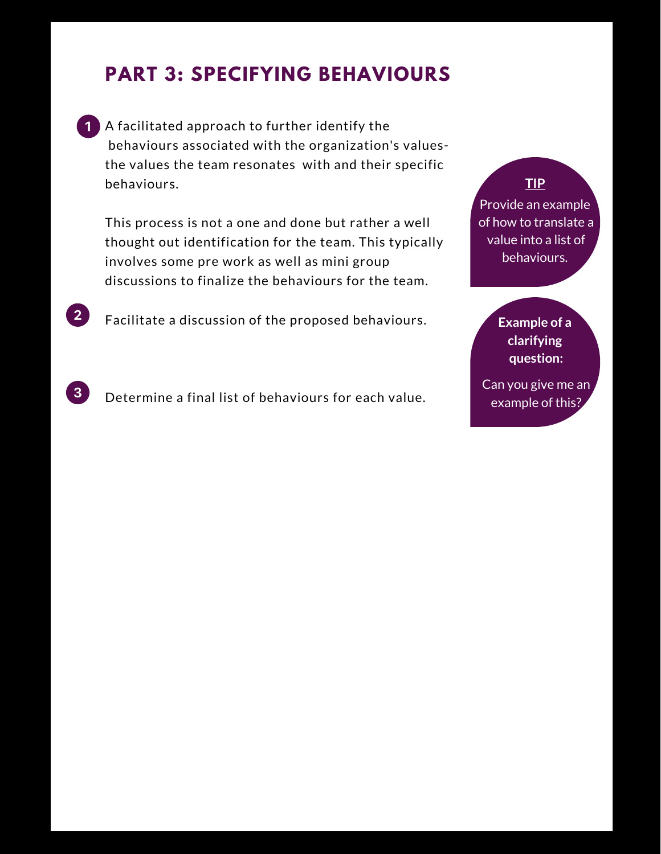## **PART 3: SPECIFYING BEHAVIOURS**

**1** A facilitated approach to further identify the behaviours associated with the organization's valuesthe values the team resonates with and their specific behaviours.

This process is not a one and done but rather a well thought out identification for the team. This typically involves some pre work as well as mini group discussions to finalize the behaviours for the team.

Facilitate a discussion of the proposed behaviours.

 $2<sup>1</sup>$ 

 $\mathbf{3}$ 

Determine a final list of behaviours for each value.

#### **TIP**

Provide an example of how to translate a value into a list of behaviours.

#### **Example of a clarifying question:**

Can you give me an example of this?